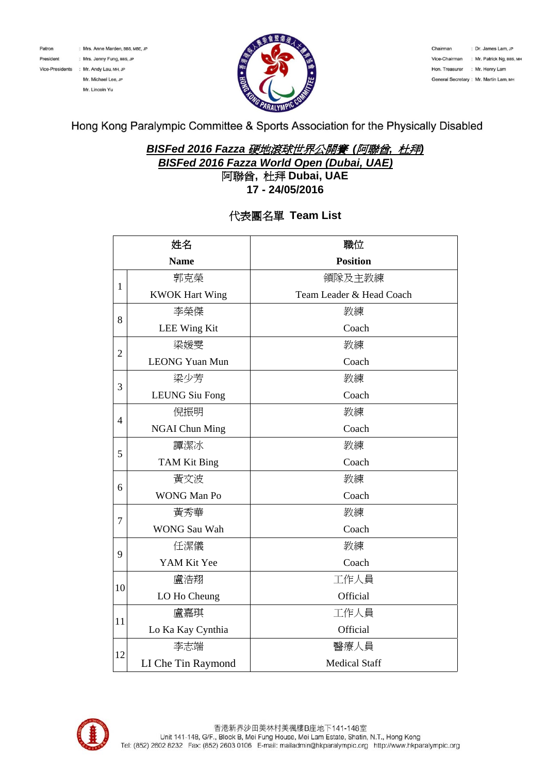Patron

President

: Mrs. Anne Marden, BBS, MBE, JP : Mrs. Jenny Fung, BBS, JP Vice-Presidents : Mr. Andy Lau, MH, JP Mr. Michael Lee, JP Mr. Lincoln Yu



Chairman : Dr. James Lam, JP Vice-Chairman : Mr. Patrick Ng, BBS, MH Hon. Treasurer : Mr. Henry Lam General Secretary : Mr. Martin Lam, MH

Hong Kong Paralympic Committee & Sports Association for the Physically Disabled

## *BISFed 2016 Fazza* 硬地滾球世界公開賽 *(*阿聯酋*,* 杜拜*) BISFed 2016 Fazza World Open (Dubai, UAE)*  阿聯酋**,** 杜拜 **Dubai, UAE**

**17 - 24/05/2016**

## 代表團名單 **Team List**

| 姓名             |                       | 職位                       |  |  |
|----------------|-----------------------|--------------------------|--|--|
| <b>Name</b>    |                       | <b>Position</b>          |  |  |
| $\mathbf{1}$   | 郭克榮                   | 領隊及主教練                   |  |  |
|                | <b>KWOK Hart Wing</b> | Team Leader & Head Coach |  |  |
| 8              | 李榮傑                   | 教練                       |  |  |
|                | <b>LEE Wing Kit</b>   | Coach                    |  |  |
| $\overline{2}$ | 梁媛雯                   | 教練                       |  |  |
|                | <b>LEONG Yuan Mun</b> | Coach                    |  |  |
| 3              | 梁少芳                   | 教練                       |  |  |
|                | <b>LEUNG Siu Fong</b> | Coach                    |  |  |
| 4              | 倪振明                   | 教練                       |  |  |
|                | <b>NGAI Chun Ming</b> | Coach                    |  |  |
|                | 譚潔冰                   | 教練                       |  |  |
| 5              | <b>TAM Kit Bing</b>   | Coach                    |  |  |
| 6              | 黃文波                   | 教練                       |  |  |
|                | <b>WONG Man Po</b>    | Coach                    |  |  |
|                | 黃秀華                   | 教練                       |  |  |
| 7              | <b>WONG Sau Wah</b>   | Coach                    |  |  |
|                | 任潔儀                   | 教練                       |  |  |
| 9              | YAM Kit Yee           | Coach                    |  |  |
|                | 盧浩翔                   | 工作人員                     |  |  |
| 10             | LO Ho Cheung          | Official                 |  |  |
|                | 盧嘉琪                   | 工作人員                     |  |  |
| 11             | Lo Ka Kay Cynthia     | Official                 |  |  |
| 12             | 李志端                   | 醫療人員                     |  |  |
|                | LI Che Tin Raymond    | <b>Medical Staff</b>     |  |  |